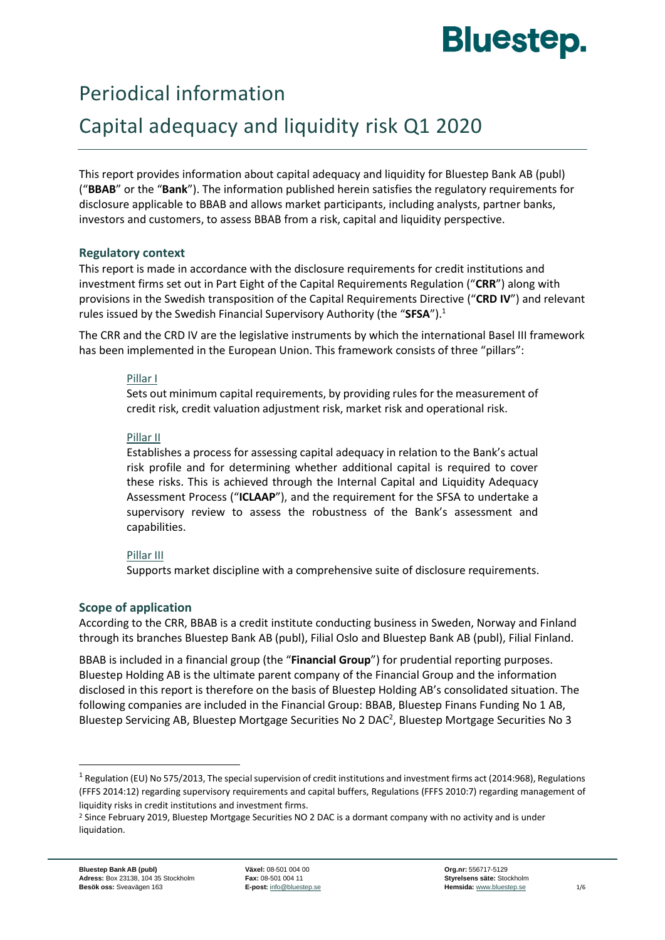# **Bluestep.**

# Periodical information

# Capital adequacy and liquidity risk Q1 2020

This report provides information about capital adequacy and liquidity for Bluestep Bank AB (publ) ("**BBAB**" or the "**Bank**"). The information published herein satisfies the regulatory requirements for disclosure applicable to BBAB and allows market participants, including analysts, partner banks, investors and customers, to assess BBAB from a risk, capital and liquidity perspective.

## **Regulatory context**

This report is made in accordance with the disclosure requirements for credit institutions and investment firms set out in Part Eight of the Capital Requirements Regulation ("**CRR**") along with provisions in the Swedish transposition of the Capital Requirements Directive ("**CRD IV**") and relevant rules issued by the Swedish Financial Supervisory Authority (the "**SFSA**").<sup>1</sup>

The CRR and the CRD IV are the legislative instruments by which the international Basel III framework has been implemented in the European Union. This framework consists of three "pillars":

## Pillar I

Sets out minimum capital requirements, by providing rules for the measurement of credit risk, credit valuation adjustment risk, market risk and operational risk.

### Pillar II

Establishes a process for assessing capital adequacy in relation to the Bank's actual risk profile and for determining whether additional capital is required to cover these risks. This is achieved through the Internal Capital and Liquidity Adequacy Assessment Process ("**ICLAAP**"), and the requirement for the SFSA to undertake a supervisory review to assess the robustness of the Bank's assessment and capabilities.

## Pillar III

Supports market discipline with a comprehensive suite of disclosure requirements.

## **Scope of application**

According to the CRR, BBAB is a credit institute conducting business in Sweden, Norway and Finland through its branches Bluestep Bank AB (publ), Filial Oslo and Bluestep Bank AB (publ), Filial Finland.

BBAB is included in a financial group (the "**Financial Group**") for prudential reporting purposes. Bluestep Holding AB is the ultimate parent company of the Financial Group and the information disclosed in this report is therefore on the basis of Bluestep Holding AB's consolidated situation. The following companies are included in the Financial Group: BBAB, Bluestep Finans Funding No 1 AB, Bluestep Servicing AB, Bluestep Mortgage Securities No 2 DAC<sup>2</sup>, Bluestep Mortgage Securities No 3

 $1$  Regulation (EU) No 575/2013, The special supervision of credit institutions and investment firms act (2014:968), Regulations (FFFS 2014:12) regarding supervisory requirements and capital buffers, Regulations (FFFS 2010:7) regarding management of liquidity risks in credit institutions and investment firms.

<sup>2</sup> Since February 2019, Bluestep Mortgage Securities NO 2 DAC is a dormant company with no activity and is under liquidation.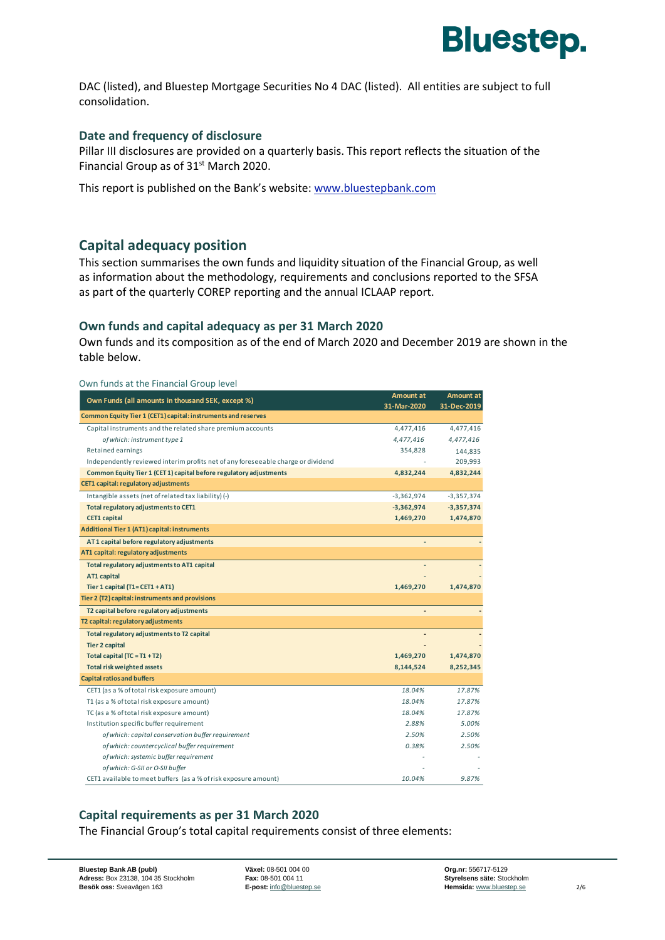

DAC (listed), and Bluestep Mortgage Securities No 4 DAC (listed). All entities are subject to full consolidation.

### **Date and frequency of disclosure**

Pillar III disclosures are provided on a quarterly basis. This report reflects the situation of the Financial Group as of 31<sup>st</sup> March 2020.

This report is published on the Bank's website: [www.bluestepbank.com](http://www.bluestepbank.com/)

## **Capital adequacy position**

This section summarises the own funds and liquidity situation of the Financial Group, as well as information about the methodology, requirements and conclusions reported to the SFSA as part of the quarterly COREP reporting and the annual ICLAAP report.

### **Own funds and capital adequacy as per 31 March 2020**

Own funds and its composition as of the end of March 2020 and December 2019 are shown in the table below.

| Own funds at the Financial Group level                                           |              |                  |
|----------------------------------------------------------------------------------|--------------|------------------|
| Own Funds (all amounts in thousand SEK, except %)                                | Amount at    | <b>Amount at</b> |
|                                                                                  | 31-Mar-2020  | 31-Dec-2019      |
| Common Equity Tier 1 (CET1) capital: instruments and reserves                    |              |                  |
| Capital instruments and the related share premium accounts                       | 4,477,416    | 4,477,416        |
| of which: instrument type 1                                                      | 4,477,416    | 4,477,416        |
| <b>Retained earnings</b>                                                         | 354,828      | 144,835          |
| Independently reviewed interim profits net of any foreseeable charge or dividend |              | 209,993          |
| Common Equity Tier 1 (CET 1) capital before regulatory adjustments               | 4,832,244    | 4,832,244        |
| CET1 capital: regulatory adjustments                                             |              |                  |
| Intangible assets (net of related tax liability) (-)                             | $-3,362,974$ | $-3,357,374$     |
| Total regulatory adjustments to CET1                                             | $-3,362,974$ | $-3,357,374$     |
| <b>CET1 capital</b>                                                              | 1,469,270    | 1,474,870        |
| <b>Additional Tier 1 (AT1) capital: instruments</b>                              |              |                  |
| AT1 capital before regulatory adjustments                                        |              |                  |
| AT1 capital: regulatory adjustments                                              |              |                  |
| Total regulatory adjustments to AT1 capital                                      |              |                  |
| AT1 capital                                                                      |              |                  |
| Tier 1 capital (T1=CET1 + AT1)                                                   | 1,469,270    | 1,474,870        |
| Tier 2 (T2) capital: instruments and provisions                                  |              |                  |
| T2 capital before regulatory adjustments                                         |              |                  |
| T2 capital: regulatory adjustments                                               |              |                  |
| Total regulatory adjustments to T2 capital                                       |              |                  |
| <b>Tier 2 capital</b>                                                            |              |                  |
| Total capital $(TC = T1 + T2)$                                                   | 1,469,270    | 1,474,870        |
| <b>Total risk weighted assets</b>                                                | 8,144,524    | 8,252,345        |
| <b>Capital ratios and buffers</b>                                                |              |                  |
| CET1 (as a % of total risk exposure amount)                                      | 18.04%       | 17.87%           |
| T1 (as a % of total risk exposure amount)                                        | 18.04%       | 17.87%           |
| TC (as a % of total risk exposure amount)                                        | 18.04%       | 17.87%           |
| Institution specific buffer requirement                                          | 2.88%        | 5.00%            |
| of which: capital conservation buffer requirement                                | 2.50%        | 2.50%            |
| of which: countercyclical buffer requirement                                     | 0.38%        | 2.50%            |
| of which: systemic buffer requirement                                            |              |                  |
| of which: G-SII or O-SII buffer                                                  |              |                  |
| CET1 available to meet buffers (as a % of risk exposure amount)                  | 10.04%       | 9.87%            |

## **Capital requirements as per 31 March 2020**

The Financial Group's total capital requirements consist of three elements: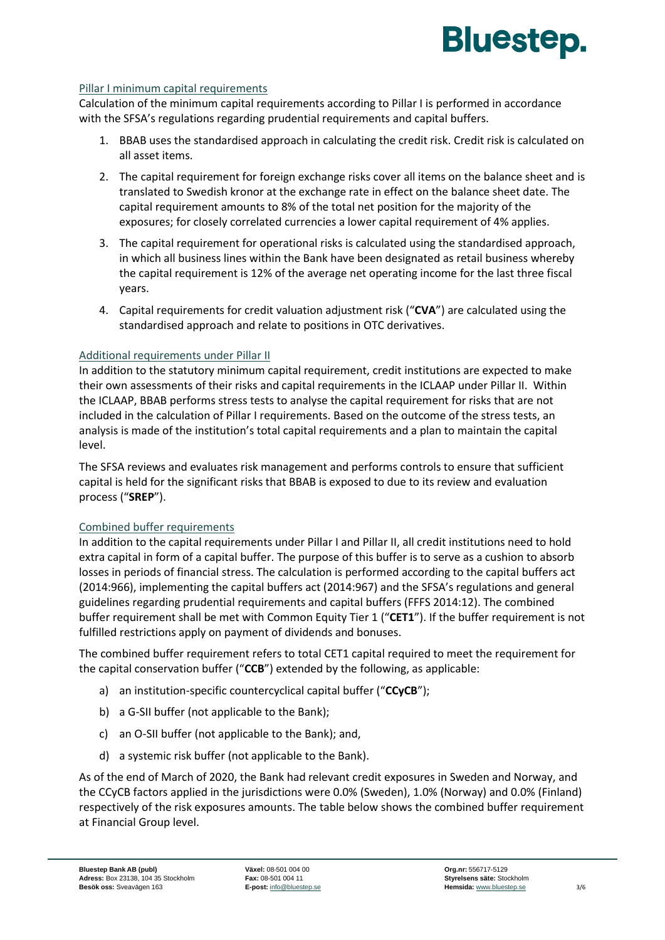

### Pillar I minimum capital requirements

Calculation of the minimum capital requirements according to Pillar I is performed in accordance with the SFSA's regulations regarding prudential requirements and capital buffers.

- 1. BBAB uses the standardised approach in calculating the credit risk. Credit risk is calculated on all asset items.
- 2. The capital requirement for foreign exchange risks cover all items on the balance sheet and is translated to Swedish kronor at the exchange rate in effect on the balance sheet date. The capital requirement amounts to 8% of the total net position for the majority of the exposures; for closely correlated currencies a lower capital requirement of 4% applies.
- 3. The capital requirement for operational risks is calculated using the standardised approach, in which all business lines within the Bank have been designated as retail business whereby the capital requirement is 12% of the average net operating income for the last three fiscal years.
- 4. Capital requirements for credit valuation adjustment risk ("**CVA**") are calculated using the standardised approach and relate to positions in OTC derivatives.

### Additional requirements under Pillar II

In addition to the statutory minimum capital requirement, credit institutions are expected to make their own assessments of their risks and capital requirements in the ICLAAP under Pillar II. Within the ICLAAP, BBAB performs stress tests to analyse the capital requirement for risks that are not included in the calculation of Pillar I requirements. Based on the outcome of the stress tests, an analysis is made of the institution's total capital requirements and a plan to maintain the capital level.

The SFSA reviews and evaluates risk management and performs controls to ensure that sufficient capital is held for the significant risks that BBAB is exposed to due to its review and evaluation process ("**SREP**").

### Combined buffer requirements

In addition to the capital requirements under Pillar I and Pillar II, all credit institutions need to hold extra capital in form of a capital buffer. The purpose of this buffer is to serve as a cushion to absorb losses in periods of financial stress. The calculation is performed according to the capital buffers act (2014:966), implementing the capital buffers act (2014:967) and the SFSA's regulations and general guidelines regarding prudential requirements and capital buffers (FFFS 2014:12). The combined buffer requirement shall be met with Common Equity Tier 1 ("**CET1**"). If the buffer requirement is not fulfilled restrictions apply on payment of dividends and bonuses.

The combined buffer requirement refers to total CET1 capital required to meet the requirement for the capital conservation buffer ("**CCB**") extended by the following, as applicable:

- a) an institution-specific countercyclical capital buffer ("**CCyCB**");
- b) a G-SII buffer (not applicable to the Bank);
- c) an O-SII buffer (not applicable to the Bank); and,
- d) a systemic risk buffer (not applicable to the Bank).

As of the end of March of 2020, the Bank had relevant credit exposures in Sweden and Norway, and the CCyCB factors applied in the jurisdictions were 0.0% (Sweden), 1.0% (Norway) and 0.0% (Finland) respectively of the risk exposures amounts. The table below shows the combined buffer requirement at Financial Group level.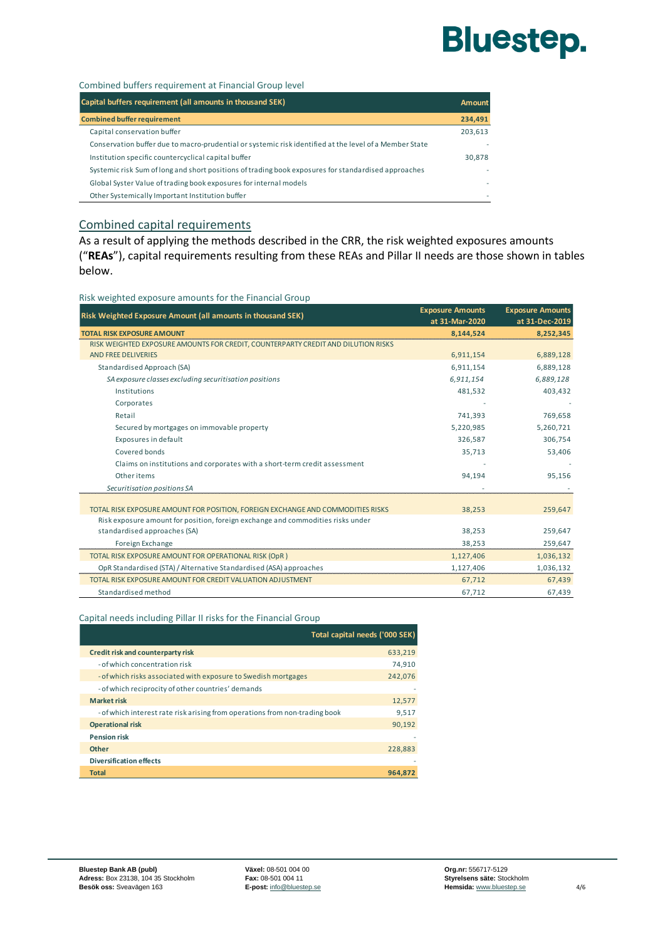# **Bluestep.**

#### Combined buffers requirement at Financial Group level

| Capital buffers requirement (all amounts in thousand SEK)                                              | Amount  |
|--------------------------------------------------------------------------------------------------------|---------|
| <b>Combined buffer requirement</b>                                                                     | 234,491 |
| Capital conservation buffer                                                                            | 203,613 |
| Conservation buffer due to macro-prudential or systemic risk identified at the level of a Member State |         |
| Institution specific countercyclical capital buffer                                                    | 30,878  |
| Systemic risk Sum of long and short positions of trading book exposures for standardised approaches    |         |
| Global Syster Value of trading book exposures for internal models                                      |         |
| Other Systemically Important Institution buffer                                                        |         |

### Combined capital requirements

As a result of applying the methods described in the CRR, the risk weighted exposures amounts ("**REAs**"), capital requirements resulting from these REAs and Pillar II needs are those shown in tables below.

Risk weighted exposure amounts for the Financial Group

| Risk Weighted Exposure Amount (all amounts in thousand SEK)                       | <b>Exposure Amounts</b> | <b>Exposure Amounts</b> |
|-----------------------------------------------------------------------------------|-------------------------|-------------------------|
|                                                                                   | at 31-Mar-2020          | at 31-Dec-2019          |
| <b>TOTAL RISK EXPOSURE AMOUNT</b>                                                 | 8,144,524               | 8,252,345               |
| RISK WEIGHTED EXPOSURE AMOUNTS FOR CREDIT. COUNTERPARTY CREDIT AND DILUTION RISKS |                         |                         |
| <b>AND FREE DELIVERIES</b>                                                        | 6,911,154               | 6,889,128               |
| Standardised Approach (SA)                                                        | 6,911,154               | 6,889,128               |
| SA exposure classes excluding securitisation positions                            | 6,911,154               | 6,889,128               |
| Institutions                                                                      | 481,532                 | 403,432                 |
| Corporates                                                                        |                         |                         |
| Retail                                                                            | 741.393                 | 769,658                 |
| Secured by mortgages on immovable property                                        | 5,220,985               | 5,260,721               |
| Exposures in default                                                              | 326,587                 | 306,754                 |
| Covered bonds                                                                     | 35,713                  | 53,406                  |
| Claims on institutions and corporates with a short-term credit assessment         |                         |                         |
| Other items                                                                       | 94,194                  | 95,156                  |
| Securitisation positions SA                                                       |                         |                         |
|                                                                                   |                         |                         |
| TOTAL RISK EXPOSURE AMOUNT FOR POSITION, FOREIGN EXCHANGE AND COMMODITIES RISKS   | 38,253                  | 259,647                 |
| Risk exposure amount for position, foreign exchange and commodities risks under   |                         |                         |
| standardised approaches (SA)                                                      | 38,253                  | 259,647                 |
| Foreign Exchange                                                                  | 38,253                  | 259,647                 |
| TOTAL RISK EXPOSURE AMOUNT FOR OPERATIONAL RISK (OpR)                             | 1,127,406               | 1,036,132               |
| OpR Standardised (STA) / Alternative Standardised (ASA) approaches                | 1,127,406               | 1,036,132               |
| TOTAL RISK EXPOSURE AMOUNT FOR CREDIT VALUATION ADJUSTMENT                        | 67,712                  | 67,439                  |
| Standardised method                                                               | 67,712                  | 67,439                  |

#### Capital needs including Pillar II risks for the Financial Group

|                                                                             | Total capital needs ('000 SEK) |
|-----------------------------------------------------------------------------|--------------------------------|
| Credit risk and counterparty risk                                           | 633,219                        |
| - of which concentration risk                                               | 74,910                         |
| - of which risks associated with exposure to Swedish mortgages              | 242,076                        |
| - of which reciprocity of other countries' demands                          |                                |
| <b>Market risk</b>                                                          | 12,577                         |
| - of which interest rate risk arising from operations from non-trading book | 9,517                          |
| <b>Operational risk</b>                                                     | 90,192                         |
| <b>Pension risk</b>                                                         | ٠                              |
| <b>Other</b>                                                                | 228,883                        |
| <b>Diversification effects</b>                                              |                                |
| <b>Total</b>                                                                | 964.872                        |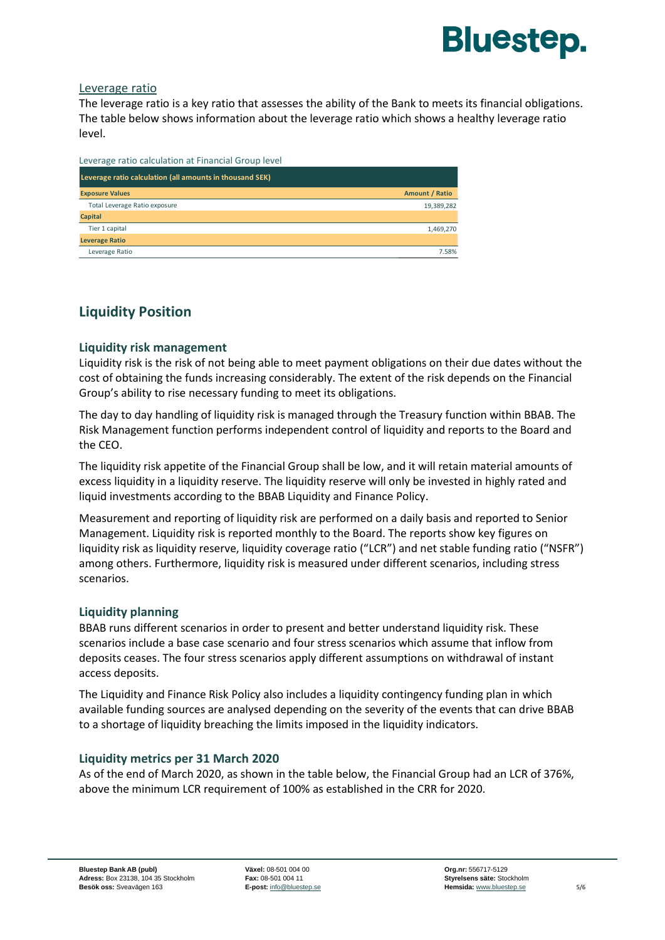

### Leverage ratio

The leverage ratio is a key ratio that assesses the ability of the Bank to meets its financial obligations. The table below shows information about the leverage ratio which shows a healthy leverage ratio level.

| Leverage ratio calculation at Financial Group level      |                       |
|----------------------------------------------------------|-----------------------|
| Leverage ratio calculation (all amounts in thousand SEK) |                       |
| <b>Exposure Values</b>                                   | <b>Amount / Ratio</b> |
| Total Leverage Ratio exposure                            | 19,389,282            |
| <b>Capital</b>                                           |                       |
| Tier 1 capital                                           | 1,469,270             |
| <b>Leverage Ratio</b>                                    |                       |
| Leverage Ratio                                           | 7.58%                 |

# **Liquidity Position**

### **Liquidity risk management**

Liquidity risk is the risk of not being able to meet payment obligations on their due dates without the cost of obtaining the funds increasing considerably. The extent of the risk depends on the Financial Group's ability to rise necessary funding to meet its obligations.

The day to day handling of liquidity risk is managed through the Treasury function within BBAB. The Risk Management function performs independent control of liquidity and reports to the Board and the CEO.

The liquidity risk appetite of the Financial Group shall be low, and it will retain material amounts of excess liquidity in a liquidity reserve. The liquidity reserve will only be invested in highly rated and liquid investments according to the BBAB Liquidity and Finance Policy.

Measurement and reporting of liquidity risk are performed on a daily basis and reported to Senior Management. Liquidity risk is reported monthly to the Board. The reports show key figures on liquidity risk as liquidity reserve, liquidity coverage ratio ("LCR") and net stable funding ratio ("NSFR") among others. Furthermore, liquidity risk is measured under different scenarios, including stress scenarios.

### **Liquidity planning**

BBAB runs different scenarios in order to present and better understand liquidity risk. These scenarios include a base case scenario and four stress scenarios which assume that inflow from deposits ceases. The four stress scenarios apply different assumptions on withdrawal of instant access deposits.

The Liquidity and Finance Risk Policy also includes a liquidity contingency funding plan in which available funding sources are analysed depending on the severity of the events that can drive BBAB to a shortage of liquidity breaching the limits imposed in the liquidity indicators.

### **Liquidity metrics per 31 March 2020**

As of the end of March 2020, as shown in the table below, the Financial Group had an LCR of 376%, above the minimum LCR requirement of 100% as established in the CRR for 2020.